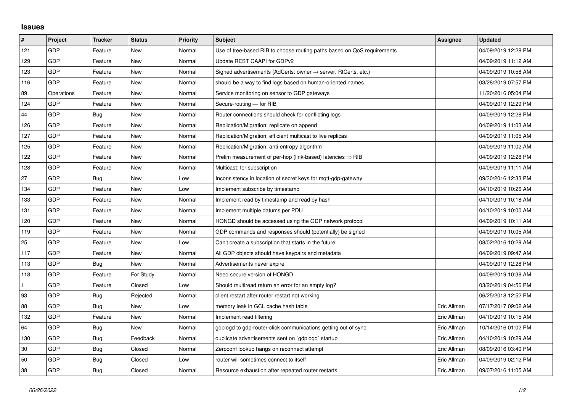## **Issues**

| #            | Project    | Tracker    | <b>Status</b> | <b>Priority</b> | <b>Subject</b>                                                             | Assignee    | <b>Updated</b>      |
|--------------|------------|------------|---------------|-----------------|----------------------------------------------------------------------------|-------------|---------------------|
| 121          | GDP        | Feature    | <b>New</b>    | Normal          | Use of tree-based RIB to choose routing paths based on QoS requirements    |             | 04/09/2019 12:28 PM |
| 129          | GDP        | Feature    | <b>New</b>    | Normal          | Update REST CAAPI for GDPv2                                                |             | 04/09/2019 11:12 AM |
| 123          | GDP        | Feature    | New           | Normal          | Signed advertisements (AdCerts: owner $\rightarrow$ server, RtCerts, etc.) |             | 04/09/2019 10:58 AM |
| 116          | GDP        | Feature    | <b>New</b>    | Normal          | should be a way to find logs based on human-oriented names                 |             | 03/28/2019 07:57 PM |
| 89           | Operations | Feature    | New           | Normal          | Service monitoring on sensor to GDP gateways                               |             | 11/20/2016 05:04 PM |
| 124          | GDP        | Feature    | <b>New</b>    | Normal          | Secure-routing - for RIB                                                   |             | 04/09/2019 12:29 PM |
| 44           | GDP        | Bug        | New           | Normal          | Router connections should check for conflicting logs                       |             | 04/09/2019 12:28 PM |
| 126          | GDP        | Feature    | <b>New</b>    | Normal          | Replication/Migration: replicate on append                                 |             | 04/09/2019 11:03 AM |
| 127          | GDP        | Feature    | New           | Normal          | Replication/Migration: efficient multicast to live replicas                |             | 04/09/2019 11:05 AM |
| 125          | GDP        | Feature    | <b>New</b>    | Normal          | Replication/Migration: anti-entropy algorithm                              |             | 04/09/2019 11:02 AM |
| 122          | GDP        | Feature    | <b>New</b>    | Normal          | Prelim measurement of per-hop (link-based) latencies $\Rightarrow$ RIB     |             | 04/09/2019 12:28 PM |
| 128          | GDP        | Feature    | New           | Normal          | Multicast: for subscription                                                |             | 04/09/2019 11:11 AM |
| 27           | GDP        | Bug        | New           | Low             | Inconsistency in location of secret keys for mgtt-gdp-gateway              |             | 09/30/2016 12:33 PM |
| 134          | GDP        | Feature    | New           | Low             | Implement subscribe by timestamp                                           |             | 04/10/2019 10:26 AM |
| 133          | GDP        | Feature    | New           | Normal          | Implement read by timestamp and read by hash                               |             | 04/10/2019 10:18 AM |
| 131          | GDP        | Feature    | <b>New</b>    | Normal          | Implement multiple datums per PDU                                          |             | 04/10/2019 10:00 AM |
| 120          | GDP        | Feature    | <b>New</b>    | Normal          | HONGD should be accessed using the GDP network protocol                    |             | 04/09/2019 10:11 AM |
| 119          | GDP        | Feature    | New           | Normal          | GDP commands and responses should (potentially) be signed                  |             | 04/09/2019 10:05 AM |
| 25           | GDP        | Feature    | <b>New</b>    | Low             | Can't create a subscription that starts in the future                      |             | 08/02/2016 10:29 AM |
| 117          | GDP        | Feature    | New           | Normal          | All GDP objects should have keypairs and metadata                          |             | 04/09/2019 09:47 AM |
| 113          | GDP        | <b>Bug</b> | <b>New</b>    | Normal          | Advertisements never expire                                                |             | 04/09/2019 12:28 PM |
| 118          | GDP        | Feature    | For Study     | Normal          | Need secure version of HONGD                                               |             | 04/09/2019 10:38 AM |
| $\mathbf{1}$ | GDP        | Feature    | Closed        | Low             | Should multiread return an error for an empty log?                         |             | 03/20/2019 04:56 PM |
| 93           | GDP        | <b>Bug</b> | Rejected      | Normal          | client restart after router restart not working                            |             | 06/25/2018 12:52 PM |
| 88           | GDP        | <b>Bug</b> | <b>New</b>    | Low             | memory leak in GCL cache hash table                                        | Eric Allman | 07/17/2017 09:02 AM |
| 132          | GDP        | Feature    | <b>New</b>    | Normal          | Implement read filtering                                                   | Eric Allman | 04/10/2019 10:15 AM |
| 64           | GDP        | <b>Bug</b> | <b>New</b>    | Normal          | gdplogd to gdp-router-click communications getting out of sync             | Eric Allman | 10/14/2016 01:02 PM |
| 130          | GDP        | <b>Bug</b> | Feedback      | Normal          | duplicate advertisements sent on `gdplogd` startup                         | Eric Allman | 04/10/2019 10:29 AM |
| 30           | GDP        | Bug        | Closed        | Normal          | Zeroconf lookup hangs on reconnect attempt                                 | Eric Allman | 08/09/2016 03:40 PM |
| 50           | GDP        | Bug        | Closed        | Low             | router will sometimes connect to itself                                    | Eric Allman | 04/09/2019 02:12 PM |
| 38           | GDP        | <b>Bug</b> | Closed        | Normal          | Resource exhaustion after repeated router restarts                         | Eric Allman | 09/07/2016 11:05 AM |